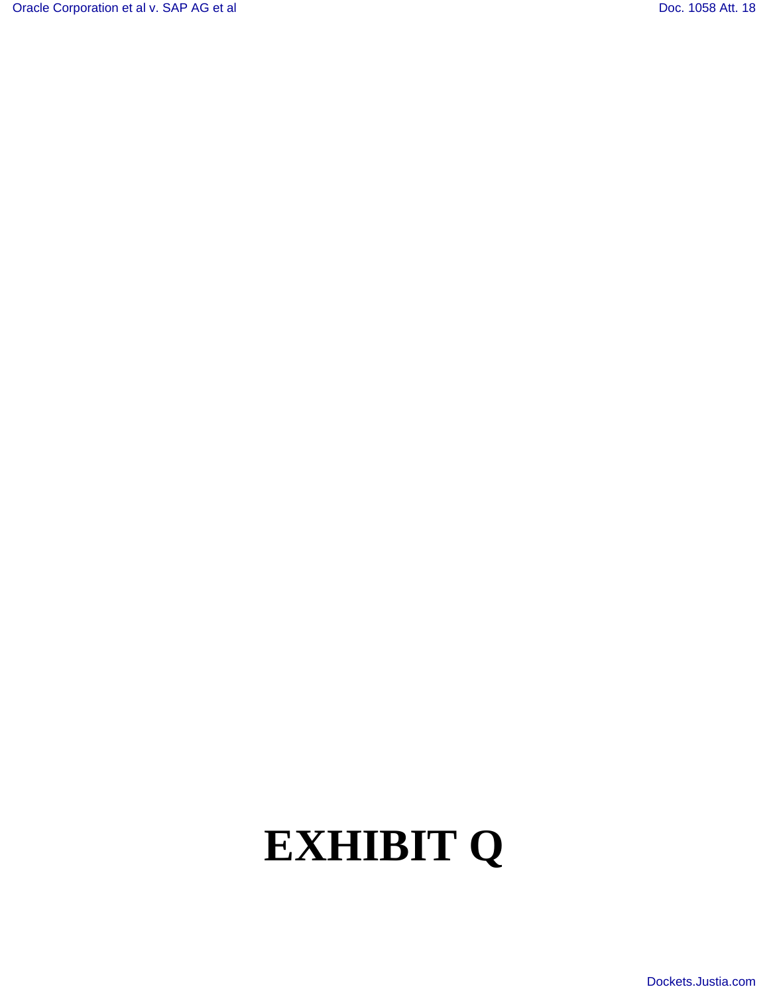[Oracle Corporation et al v. SAP AG et al](http://dockets.justia.com/docket/california/candce/3:2007cv01658/190451/) Corporation et al v. SAP AG et al [Doc. 1058 Att. 18](http://docs.justia.com/cases/federal/district-courts/california/candce/3:2007cv01658/190451/1058/18.html)

# **EXHIBIT Q**

[Dockets.Justia.com](http://dockets.justia.com/)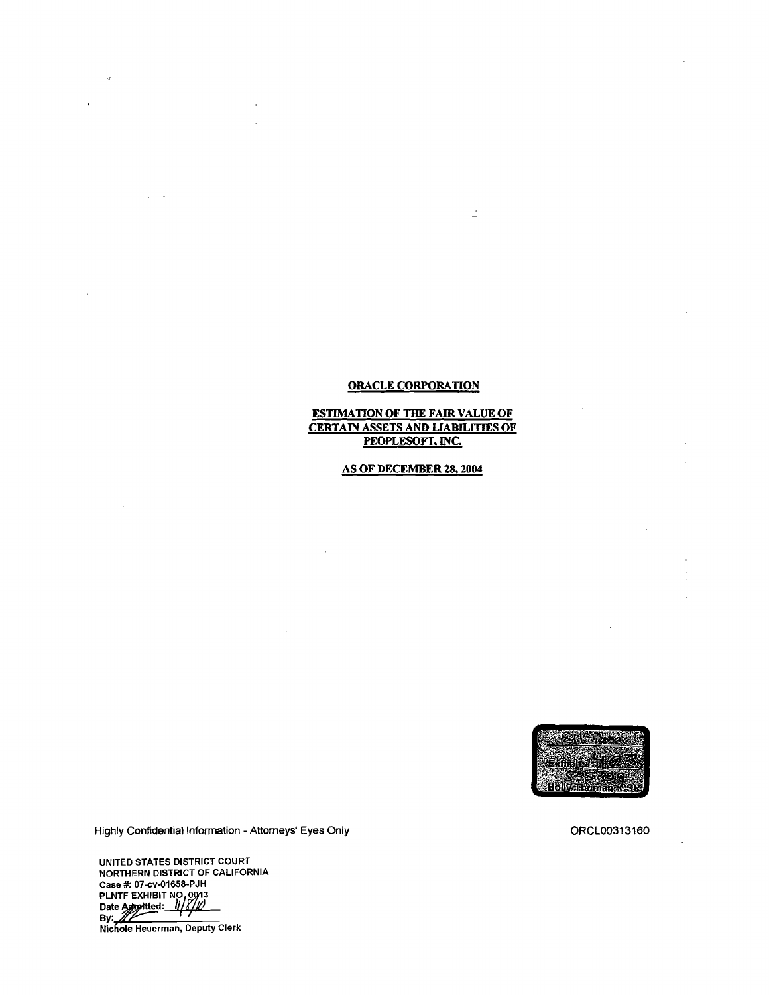## ORACLE CORPORATION

Ź

### ESTIMATION OF THE FAIR VALUE OF CERTAIN ASSETS AND LIABILITIES OF PEOPLESOFT, INC.

## AS OF DECEMBER 28, 2004

<u> Iolynminan (SR</u>

ORCL00313160

Highly Confidential Information - Attorneys' Eyes Only

UNITED STATES DISTRICT COURT NORTHERN DISTRICT OF CALIFORNIA Case #: 07-cv-01658-PJH Lase #: 07-00-01656-P5ff<br>PLNTF EXHIBIT NO, 0013<br>Date A*g*hovitted: *1118/10* Date Agroitted: 11/8/10 Nichole Heuerman, Deputy Clerk